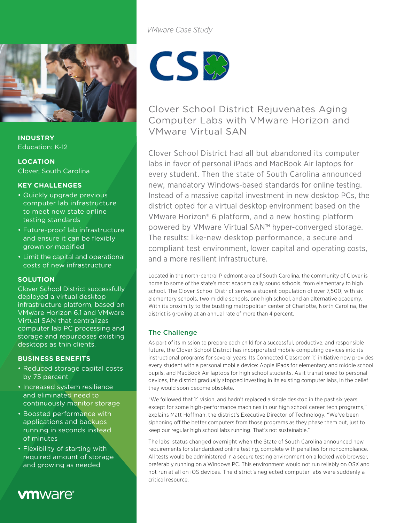

**INDUSTRY** Education: K-12

# **LOCATION**

Clover, South Carolina

# **KEY CHALLENGES**

- Quickly upgrade previous computer lab infrastructure to meet new state online testing standards
- Future-proof lab infrastructure and ensure it can be flexibly grown or modified
- Limit the capital and operational costs of new infrastructure

#### **SOLUTION**

Clover School District successfully deployed a virtual desktop infrastructure platform, based on VMware Horizon 6.1 and VMware Virtual SAN that centralizes computer lab PC processing and storage and repurposes existing desktops as thin clients.

## **BUSINESS BENEFITS**

- Reduced storage capital costs by 75 percent
- Increased system resilience and eliminated need to continuously monitor storage
- Boosted performance with applications and backups running in seconds instead of minutes
- Flexibility of starting with required amount of storage and growing as needed

# **vm**ware<sup>®</sup>

*VMware Case Study*



Clover School District Rejuvenates Aging Computer Labs with VMware Horizon and VMware Virtual SAN

Clover School District had all but abandoned its computer labs in favor of personal iPads and MacBook Air laptops for every student. Then the state of South Carolina announced new, mandatory Windows-based standards for online testing. Instead of a massive capital investment in new desktop PCs, the district opted for a virtual desktop environment based on the VMware Horizon® 6 platform, and a new hosting platform powered by VMware Virtual SAN™ hyper-converged storage. The results: like-new desktop performance, a secure and compliant test environment, lower capital and operating costs, and a more resilient infrastructure.

Located in the north-central Piedmont area of South Carolina, the community of Clover is home to some of the state's most academically sound schools, from elementary to high school. The Clover School District serves a student population of over 7,500, with six elementary schools, two middle schools, one high school, and an alternative academy. With its proximity to the bustling metropolitan center of Charlotte, North Carolina, the district is growing at an annual rate of more than 4 percent.

# The Challenge

As part of its mission to prepare each child for a successful, productive, and responsible future, the Clover School District has incorporated mobile computing devices into its instructional programs for several years. Its Connected Classroom 1:1 initiative now provides every student with a personal mobile device: Apple iPads for elementary and middle school pupils, and MacBook Air laptops for high school students. As it transitioned to personal devices, the district gradually stopped investing in its existing computer labs, in the belief they would soon become obsolete.

"We followed that 1:1 vision, and hadn't replaced a single desktop in the past six years except for some high-performance machines in our high school career tech programs," explains Matt Hoffman, the district's Executive Director of Technology. "We've been siphoning off the better computers from those programs as they phase them out, just to keep our regular high school labs running. That's not sustainable."

The labs' status changed overnight when the State of South Carolina announced new requirements for standardized online testing, complete with penalties for noncompliance. All tests would be administered in a secure testing environment on a locked web browser, preferably running on a Windows PC. This environment would not run reliably on OSX and not run at all on iOS devices. The district's neglected computer labs were suddenly a critical resource.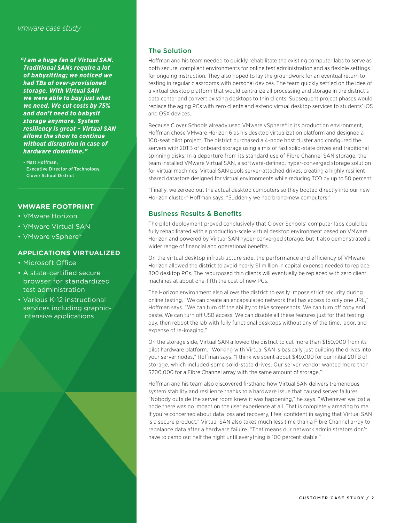*"I am a huge fan of Virtual SAN. Traditional SANs require a lot of babysitting; we noticed we had TBs of over-provisioned storage. With Virtual SAN we were able to buy just what we need. We cut costs by 75% and don't need to babysit storage anymore. System resiliency is great – Virtual SAN allows the show to continue without disruption in case of hardware downtime."*

- Matt Hoffman, Executive Director of Technology, Clover School District

#### **VMWARE FOOTPRINT**

- VMware Horizon
- VMware Virtual SAN
- VMware vSphere®

#### **APPLICATIONS VIRTUALIZED**

- Microsoft Office
- A state-certified secure browser for standardized test administration
- Various K-12 instructional services including graphicintensive applications

#### The Solution

Hoffman and his team needed to quickly rehabilitate the existing computer labs to serve as both secure, compliant environments for online test administration and as flexible settings for ongoing instruction. They also hoped to lay the groundwork for an eventual return to testing in regular classrooms with personal devices. The team quickly settled on the idea of a virtual desktop platform that would centralize all processing and storage in the district's data center and convert existing desktops to thin clients. Subsequent project phases would replace the aging PCs with zero clients and extend virtual desktop services to students' iOS and OSX devices.

Because Clover Schools already used VMware vSphere® in its production environment, Hoffman chose VMware Horizon 6 as his desktop virtualization platform and designed a 100-seat pilot project. The district purchased a 4-node host cluster and configured the servers with 20TB of onboard storage using a mix of fast solid-state drives and traditional spinning disks. In a departure from its standard use of Fibre Channel SAN storage, the team installed VMware Virtual SAN, a software-defined, hyper-converged storage solution for virtual machines. Virtual SAN pools server-attached drives, creating a highly resilient shared datastore designed for virtual environments while reducing TCO by up to 50 percent.

"Finally, we zeroed out the actual desktop computers so they booted directly into our new Horizon cluster," Hoffman says. "Suddenly we had brand-new computers."

#### Business Results & Benefits

The pilot deployment proved conclusively that Clover Schools' computer labs could be fully rehabilitated with a production-scale virtual desktop environment based on VMware Horizon and powered by Virtual SAN hyper-converged storage, but it also demonstrated a wider range of financial and operational benefits.

On the virtual desktop infrastructure side, the performance and efficiency of VMware Horizon allowed the district to avoid nearly \$1 million in capital expense needed to replace 800 desktop PCs. The repurposed thin clients will eventually be replaced with zero client machines at about one-fifth the cost of new PCs.

The Horizon environment also allows the district to easily impose strict security during online testing. "We can create an encapsulated network that has access to only one URL," Hoffman says. "We can turn off the ability to take screenshots. We can turn off copy and paste. We can turn off USB access. We can disable all these features just for that testing day, then reboot the lab with fully functional desktops without any of the time, labor, and expense of re-imaging."

On the storage side, Virtual SAN allowed the district to cut more than \$150,000 from its pilot hardware platform. "Working with Virtual SAN is basically just building the drives into your server nodes," Hoffman says. "I think we spent about \$49,000 for our initial 20TB of storage, which included some solid-state drives. Our server vendor wanted more than \$200,000 for a Fibre Channel array with the same amount of storage."

Hoffman and his team also discovered firsthand how Virtual SAN delivers tremendous system stability and resilience thanks to a hardware issue that caused server failures. "Nobody outside the server room knew it was happening," he says. "Whenever we lost a node there was no impact on the user experience at all. That is completely amazing to me. If you're concerned about data loss and recovery, I feel confident in saying that Virtual SAN is a secure product." Virtual SAN also takes much less time than a Fibre Channel array to rebalance data after a hardware failure. "That means our network administrators don't have to camp out half the night until everything is 100 percent stable."